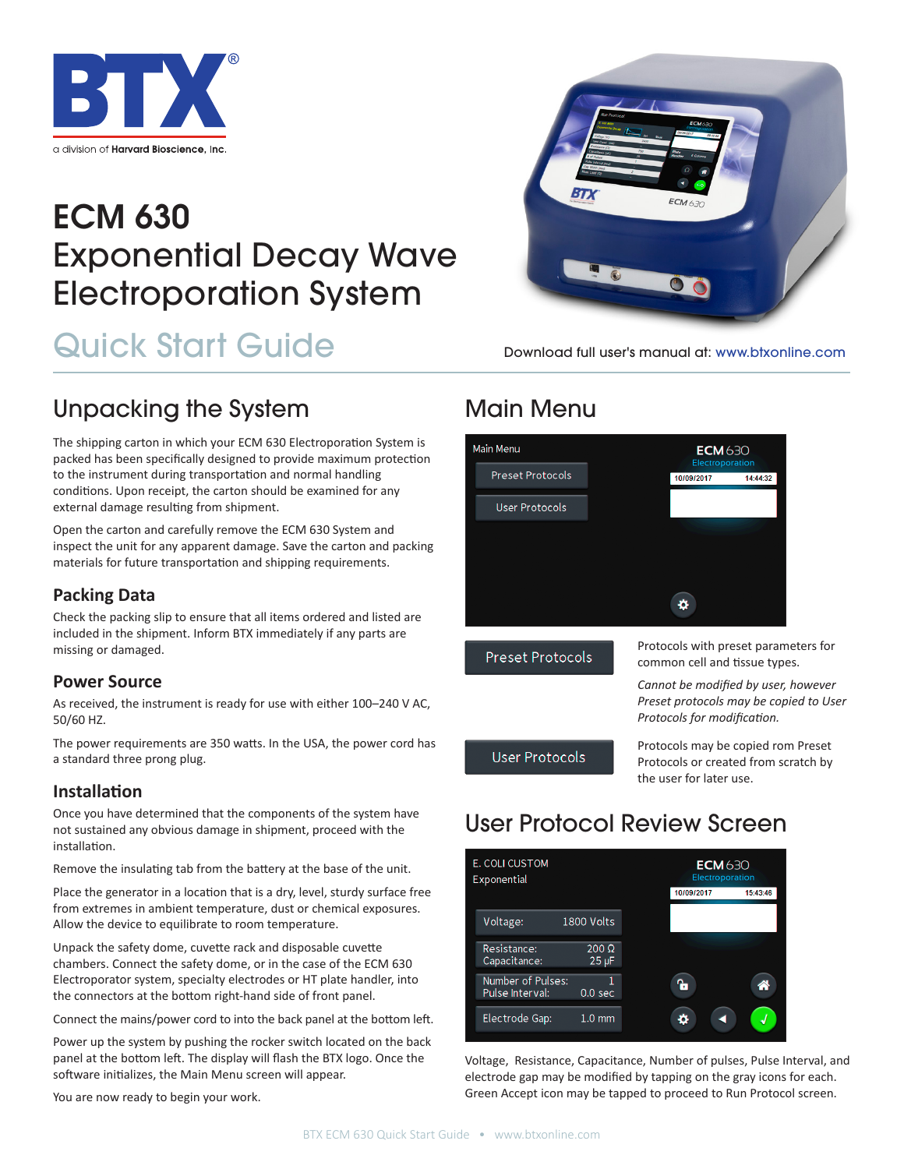

# ECM 630 Exponential Decay Wave Electroporation System

# Quick Start Guide



The shipping carton in which your ECM 630 Electroporation System is packed has been specifically designed to provide maximum protection to the instrument during transportation and normal handling conditions. Upon receipt, the carton should be examined for any external damage resulting from shipment.

Open the carton and carefully remove the ECM 630 System and inspect the unit for any apparent damage. Save the carton and packing materials for future transportation and shipping requirements.

### **Packing Data**

Check the packing slip to ensure that all items ordered and listed are included in the shipment. Inform BTX immediately if any parts are missing or damaged.

#### **Power Source**

As received, the instrument is ready for use with either 100–240 V AC, 50/60 HZ.

The power requirements are 350 watts. In the USA, the power cord has a standard three prong plug.

### **Installation**

Once you have determined that the components of the system have not sustained any obvious damage in shipment, proceed with the installation.

Remove the insulating tab from the battery at the base of the unit.

Place the generator in a location that is a dry, level, sturdy surface free from extremes in ambient temperature, dust or chemical exposures. Allow the device to equilibrate to room temperature.

Unpack the safety dome, cuvette rack and disposable cuvette chambers. Connect the safety dome, or in the case of the ECM 630 Electroporator system, specialty electrodes or HT plate handler, into the connectors at the bottom right-hand side of front panel.

Connect the mains/power cord to into the back panel at the bottom left.

Power up the system by pushing the rocker switch located on the back panel at the bottom left. The display will flash the BTX logo. Once the software initializes, the Main Menu screen will appear.

You are now ready to begin your work.



Download full user's manual at: www.btxonline.com

## Main Menu



**Preset Protocols** 

Protocols with preset parameters for common cell and tissue types.

*Cannot be modified by user, however Preset protocols may be copied to User Protocols for modification.*

**User Protocols** 

Protocols may be copied rom Preset Protocols or created from scratch by the user for later use.

# User Protocol Review Screen



Voltage, Resistance, Capacitance, Number of pulses, Pulse Interval, and electrode gap may be modified by tapping on the gray icons for each. Green Accept icon may be tapped to proceed to Run Protocol screen.